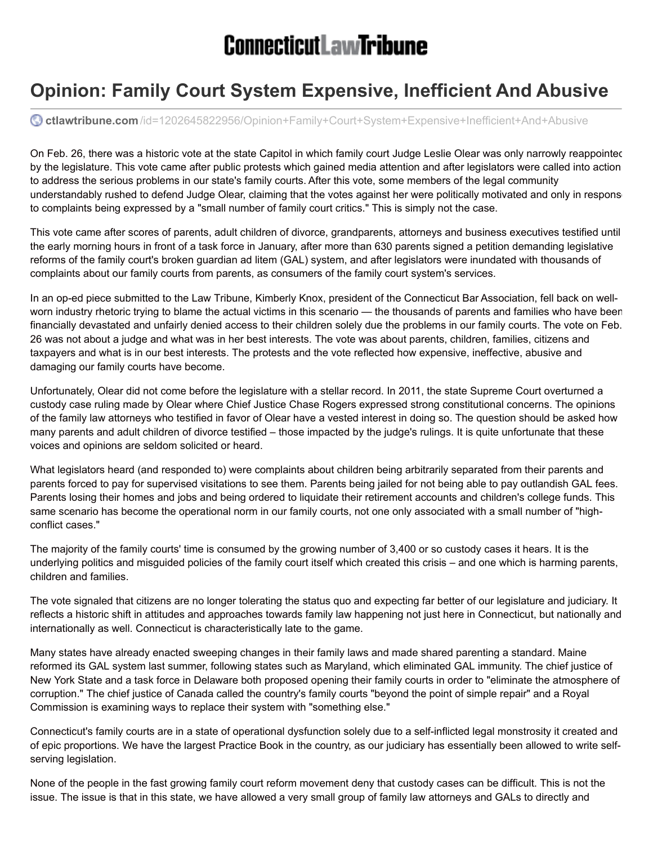## **ConnecticutLawTribune**

## **Opinion: Family Court System Expensive, Inefficient And Abusive**

**ctlawtribune.com** [/id=1202645822956/Opinion+Family+Court+System+Expensive+Inefficient+And+Abusive](http://www.ctlawtribune.com/id=1202645822956/Opinion+Family+Court+System+Expensive+Inefficient+And+Abusive?mcode=0&curindex=0&curpage=ALL)

On Feb. 26, there was a historic vote at the state Capitol in which family court Judge Leslie Olear was only narrowly reappointec by the legislature. This vote came after public protests which gained media attention and after legislators were called into action to address the serious problems in our state's family courts. After this vote, some members of the legal community understandably rushed to defend Judge Olear, claiming that the votes against her were politically motivated and only in response to complaints being expressed by a "small number of family court critics." This is simply not the case.

This vote came after scores of parents, adult children of divorce, grandparents, attorneys and business executives testified until the early morning hours in front of a task force in January, after more than 630 parents signed a petition demanding legislative reforms of the family court's broken guardian ad litem (GAL) system, and after legislators were inundated with thousands of complaints about our family courts from parents, as consumers of the family court system's services.

In an op-ed piece submitted to the Law Tribune, Kimberly Knox, president of the Connecticut Bar Association, fell back on wellworn industry rhetoric trying to blame the actual victims in this scenario — the thousands of parents and families who have been financially devastated and unfairly denied access to their children solely due the problems in our family courts. The vote on Feb. 26 was not about a judge and what was in her best interests. The vote was about parents, children, families, citizens and taxpayers and what is in our best interests. The protests and the vote reflected how expensive, ineffective, abusive and damaging our family courts have become.

Unfortunately, Olear did not come before the legislature with a stellar record. In 2011, the state Supreme Court overturned a custody case ruling made by Olear where Chief Justice Chase Rogers expressed strong constitutional concerns. The opinions of the family law attorneys who testified in favor of Olear have a vested interest in doing so. The question should be asked how many parents and adult children of divorce testified – those impacted by the judge's rulings. It is quite unfortunate that these voices and opinions are seldom solicited or heard.

What legislators heard (and responded to) were complaints about children being arbitrarily separated from their parents and parents forced to pay for supervised visitations to see them. Parents being jailed for not being able to pay outlandish GAL fees. Parents losing their homes and jobs and being ordered to liquidate their retirement accounts and children's college funds. This same scenario has become the operational norm in our family courts, not one only associated with a small number of "highconflict cases."

The majority of the family courts' time is consumed by the growing number of 3,400 or so custody cases it hears. It is the underlying politics and misguided policies of the family court itself which created this crisis – and one which is harming parents, children and families.

The vote signaled that citizens are no longer tolerating the status quo and expecting far better of our legislature and judiciary. It reflects a historic shift in attitudes and approaches towards family law happening not just here in Connecticut, but nationally and internationally as well. Connecticut is characteristically late to the game.

Many states have already enacted sweeping changes in their family laws and made shared parenting a standard. Maine reformed its GAL system last summer, following states such as Maryland, which eliminated GAL immunity. The chief justice of New York State and a task force in Delaware both proposed opening their family courts in order to "eliminate the atmosphere of corruption." The chief justice of Canada called the country's family courts "beyond the point of simple repair" and a Royal Commission is examining ways to replace their system with "something else."

Connecticut's family courts are in a state of operational dysfunction solely due to a self-inflicted legal monstrosity it created and of epic proportions. We have the largest Practice Book in the country, as our judiciary has essentially been allowed to write selfserving legislation.

None of the people in the fast growing family court reform movement deny that custody cases can be difficult. This is not the issue. The issue is that in this state, we have allowed a very small group of family law attorneys and GALs to directly and